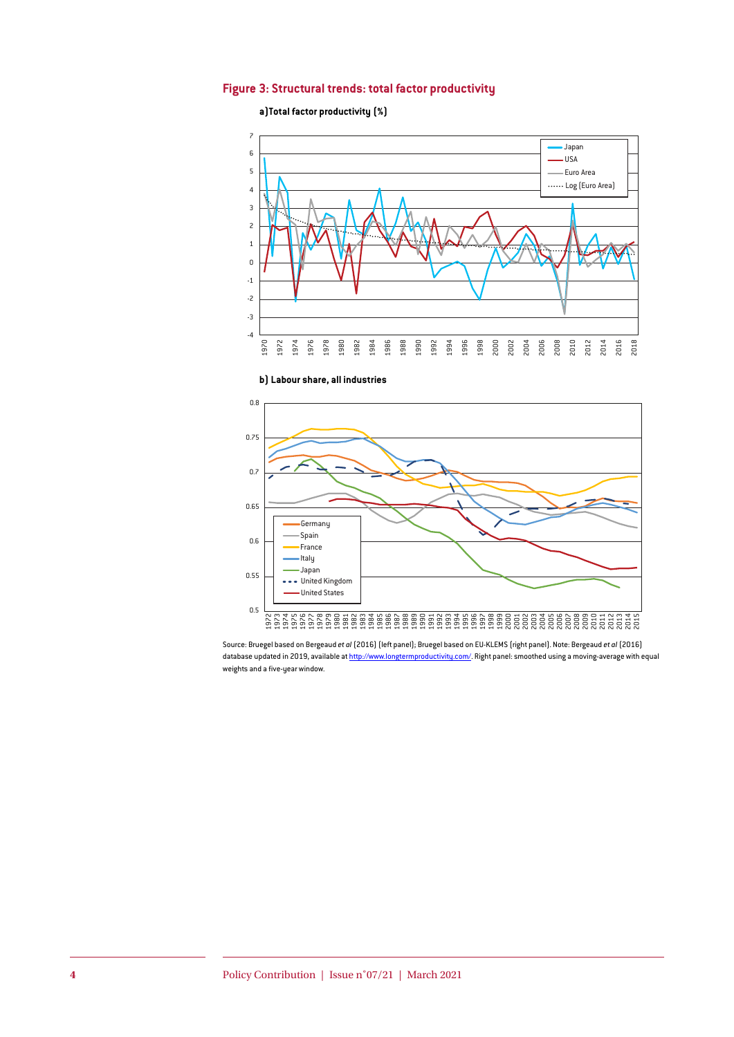### **Figure 3: Structural trends: total factor productivity**

**a)Total factor productivity (%)**



**b) Labour share, all industries**



Source: Bruegel based on Bergeaud *et al* (2016) (left panel); Bruegel based on EU-KLEMS (right panel). Note: Bergeaud *et al* (2016) database updated in 2019, available at<http://www.longtermproductivity.com/>. Right panel: smoothed using a moving-average with equal weights and a five-year window.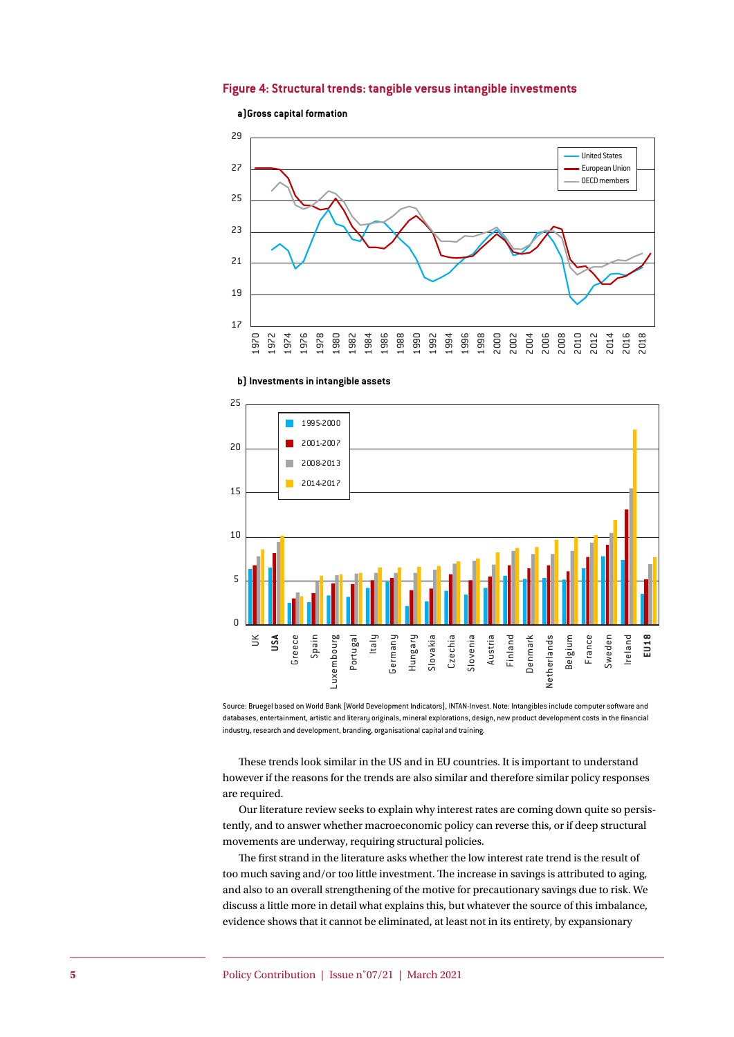#### **Figure 4: Structural trends: tangible versus intangible investments**

**a)Gross capital formation**



**b) Investments in intangible assets**



Source: Bruegel based on World Bank (World Development Indicators), INTAN-Invest. Note: Intangibles include computer software and databases, entertainment, artistic and literary originals, mineral explorations, design, new product development costs in the financial industry, research and development, branding, organisational capital and training.

These trends look similar in the US and in EU countries. It is important to understand however if the reasons for the trends are also similar and therefore similar policy responses are required.

Our literature review seeks to explain why interest rates are coming down quite so persistently, and to answer whether macroeconomic policy can reverse this, or if deep structural movements are underway, requiring structural policies.

The first strand in the literature asks whether the low interest rate trend is the result of too much saving and/or too little investment. The increase in savings is attributed to aging, and also to an overall strengthening of the motive for precautionary savings due to risk. We discuss a little more in detail what explains this, but whatever the source of this imbalance, evidence shows that it cannot be eliminated, at least not in its entirety, by expansionary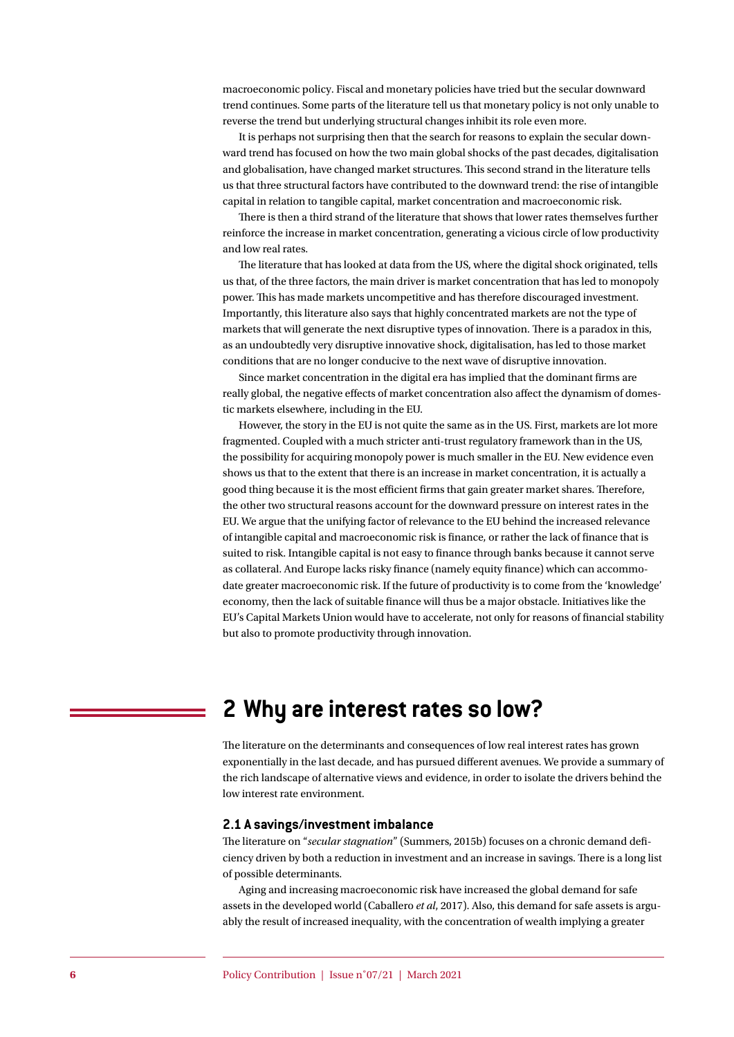macroeconomic policy. Fiscal and monetary policies have tried but the secular downward trend continues. Some parts of the literature tell us that monetary policy is not only unable to reverse the trend but underlying structural changes inhibit its role even more.

It is perhaps not surprising then that the search for reasons to explain the secular downward trend has focused on how the two main global shocks of the past decades, digitalisation and globalisation, have changed market structures. This second strand in the literature tells us that three structural factors have contributed to the downward trend: the rise of intangible capital in relation to tangible capital, market concentration and macroeconomic risk.

There is then a third strand of the literature that shows that lower rates themselves further reinforce the increase in market concentration, generating a vicious circle of low productivity and low real rates.

The literature that has looked at data from the US, where the digital shock originated, tells us that, of the three factors, the main driver is market concentration that has led to monopoly power. This has made markets uncompetitive and has therefore discouraged investment. Importantly, this literature also says that highly concentrated markets are not the type of markets that will generate the next disruptive types of innovation. There is a paradox in this, as an undoubtedly very disruptive innovative shock, digitalisation, has led to those market conditions that are no longer conducive to the next wave of disruptive innovation.

Since market concentration in the digital era has implied that the dominant firms are really global, the negative effects of market concentration also affect the dynamism of domestic markets elsewhere, including in the EU.

However, the story in the EU is not quite the same as in the US. First, markets are lot more fragmented. Coupled with a much stricter anti-trust regulatory framework than in the US, the possibility for acquiring monopoly power is much smaller in the EU. New evidence even shows us that to the extent that there is an increase in market concentration, it is actually a good thing because it is the most efficient firms that gain greater market shares. Therefore, the other two structural reasons account for the downward pressure on interest rates in the EU. We argue that the unifying factor of relevance to the EU behind the increased relevance of intangible capital and macroeconomic risk is finance, or rather the lack of finance that is suited to risk. Intangible capital is not easy to finance through banks because it cannot serve as collateral. And Europe lacks risky finance (namely equity finance) which can accommodate greater macroeconomic risk. If the future of productivity is to come from the 'knowledge' economy, then the lack of suitable finance will thus be a major obstacle. Initiatives like the EU's Capital Markets Union would have to accelerate, not only for reasons of financial stability but also to promote productivity through innovation.

# **2 Why are interest rates so low?**

The literature on the determinants and consequences of low real interest rates has grown exponentially in the last decade, and has pursued different avenues. We provide a summary of the rich landscape of alternative views and evidence, in order to isolate the drivers behind the low interest rate environment.

#### **2.1 A savings/investment imbalance**

The literature on "*secular stagnation*" (Summers, 2015b) focuses on a chronic demand deficiency driven by both a reduction in investment and an increase in savings. There is a long list of possible determinants.

Aging and increasing macroeconomic risk have increased the global demand for safe assets in the developed world (Caballero *et al*, 2017). Also, this demand for safe assets is arguably the result of increased inequality, with the concentration of wealth implying a greater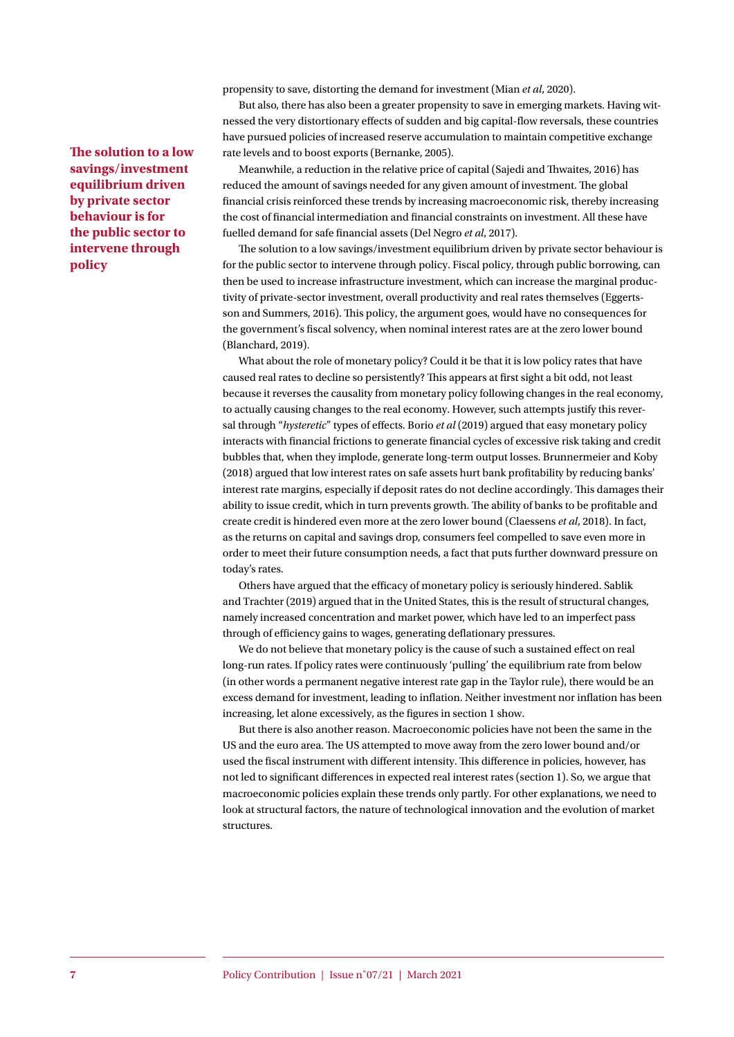propensity to save, distorting the demand for investment (Mian *et al*, 2020).

But also, there has also been a greater propensity to save in emerging markets. Having witnessed the very distortionary effects of sudden and big capital-flow reversals, these countries have pursued policies of increased reserve accumulation to maintain competitive exchange rate levels and to boost exports (Bernanke, 2005).

Meanwhile, a reduction in the relative price of capital (Sajedi and Thwaites, 2016) has reduced the amount of savings needed for any given amount of investment. The global financial crisis reinforced these trends by increasing macroeconomic risk, thereby increasing the cost of financial intermediation and financial constraints on investment. All these have fuelled demand for safe financial assets (Del Negro *et al*, 2017).

The solution to a low savings/investment equilibrium driven by private sector behaviour is for the public sector to intervene through policy. Fiscal policy, through public borrowing, can then be used to increase infrastructure investment, which can increase the marginal productivity of private-sector investment, overall productivity and real rates themselves (Eggertsson and Summers, 2016). This policy, the argument goes, would have no consequences for the government's fiscal solvency, when nominal interest rates are at the zero lower bound (Blanchard, 2019).

What about the role of monetary policy? Could it be that it is low policy rates that have caused real rates to decline so persistently? This appears at first sight a bit odd, not least because it reverses the causality from monetary policy following changes in the real economy, to actually causing changes to the real economy. However, such attempts justify this reversal through "*hysteretic*" types of effects. Borio *et al* (2019) argued that easy monetary policy interacts with financial frictions to generate financial cycles of excessive risk taking and credit bubbles that, when they implode, generate long-term output losses. Brunnermeier and Koby (2018) argued that low interest rates on safe assets hurt bank profitability by reducing banks' interest rate margins, especially if deposit rates do not decline accordingly. This damages their ability to issue credit, which in turn prevents growth. The ability of banks to be profitable and create credit is hindered even more at the zero lower bound (Claessens *et al*, 2018). In fact, as the returns on capital and savings drop, consumers feel compelled to save even more in order to meet their future consumption needs, a fact that puts further downward pressure on today's rates.

Others have argued that the efficacy of monetary policy is seriously hindered. Sablik and Trachter (2019) argued that in the United States, this is the result of structural changes, namely increased concentration and market power, which have led to an imperfect pass through of efficiency gains to wages, generating deflationary pressures.

We do not believe that monetary policy is the cause of such a sustained effect on real long-run rates. If policy rates were continuously 'pulling' the equilibrium rate from below (in other words a permanent negative interest rate gap in the Taylor rule), there would be an excess demand for investment, leading to inflation. Neither investment nor inflation has been increasing, let alone excessively, as the figures in section 1 show.

But there is also another reason. Macroeconomic policies have not been the same in the US and the euro area. The US attempted to move away from the zero lower bound and/or used the fiscal instrument with different intensity. This difference in policies, however, has not led to significant differences in expected real interest rates (section 1). So, we argue that macroeconomic policies explain these trends only partly. For other explanations, we need to look at structural factors, the nature of technological innovation and the evolution of market structures.

**The solution to a low savings/investment equilibrium driven by private sector behaviour is for the public sector to intervene through policy**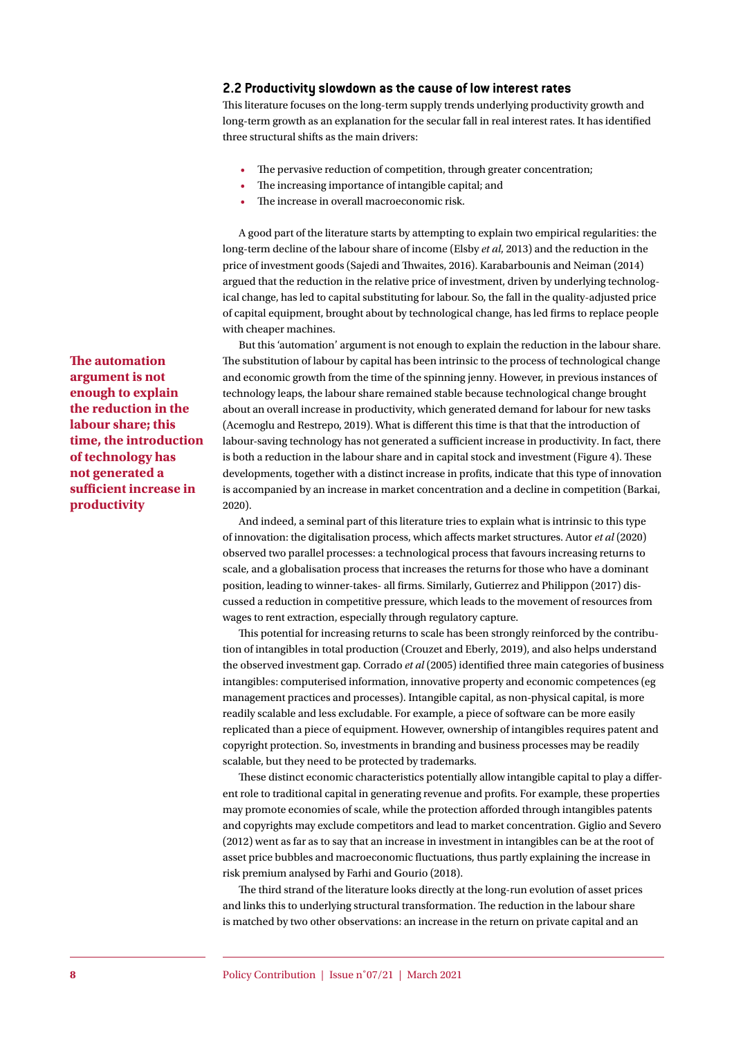#### **2.2 Productivity slowdown as the cause of low interest rates**

This literature focuses on the long-term supply trends underlying productivity growth and long-term growth as an explanation for the secular fall in real interest rates. It has identified three structural shifts as the main drivers:

- The pervasive reduction of competition, through greater concentration;
- The increasing importance of intangible capital; and
- The increase in overall macroeconomic risk.

A good part of the literature starts by attempting to explain two empirical regularities: the long-term decline of the labour share of income (Elsby *et al*, 2013) and the reduction in the price of investment goods (Sajedi and Thwaites, 2016). Karabarbounis and Neiman (2014) argued that the reduction in the relative price of investment, driven by underlying technological change, has led to capital substituting for labour. So, the fall in the quality-adjusted price of capital equipment, brought about by technological change, has led firms to replace people with cheaper machines.

But this 'automation' argument is not enough to explain the reduction in the labour share. The substitution of labour by capital has been intrinsic to the process of technological change and economic growth from the time of the spinning jenny. However, in previous instances of technology leaps, the labour share remained stable because technological change brought about an overall increase in productivity, which generated demand for labour for new tasks (Acemoglu and Restrepo, 2019). What is different this time is that that the introduction of labour-saving technology has not generated a sufficient increase in productivity. In fact, there is both a reduction in the labour share and in capital stock and investment (Figure 4). These developments, together with a distinct increase in profits, indicate that this type of innovation is accompanied by an increase in market concentration and a decline in competition (Barkai, 2020).

And indeed, a seminal part of this literature tries to explain what is intrinsic to this type of innovation: the digitalisation process, which affects market structures. Autor *et al* (2020) observed two parallel processes: a technological process that favours increasing returns to scale, and a globalisation process that increases the returns for those who have a dominant position, leading to winner-takes- all firms. Similarly, Gutierrez and Philippon (2017) discussed a reduction in competitive pressure, which leads to the movement of resources from wages to rent extraction, especially through regulatory capture.

This potential for increasing returns to scale has been strongly reinforced by the contribution of intangibles in total production (Crouzet and Eberly, 2019), and also helps understand the observed investment gap. Corrado *et al* (2005) identified three main categories of business intangibles: computerised information, innovative property and economic competences (eg management practices and processes). Intangible capital, as non-physical capital, is more readily scalable and less excludable. For example, a piece of software can be more easily replicated than a piece of equipment. However, ownership of intangibles requires patent and copyright protection. So, investments in branding and business processes may be readily scalable, but they need to be protected by trademarks.

These distinct economic characteristics potentially allow intangible capital to play a different role to traditional capital in generating revenue and profits. For example, these properties may promote economies of scale, while the protection afforded through intangibles patents and copyrights may exclude competitors and lead to market concentration. Giglio and Severo (2012) went as far as to say that an increase in investment in intangibles can be at the root of asset price bubbles and macroeconomic fluctuations, thus partly explaining the increase in risk premium analysed by Farhi and Gourio (2018).

The third strand of the literature looks directly at the long-run evolution of asset prices and links this to underlying structural transformation. The reduction in the labour share is matched by two other observations: an increase in the return on private capital and an

**The automation argument is not enough to explain the reduction in the labour share; this time, the introduction of technology has not generated a sufficient increase in productivity**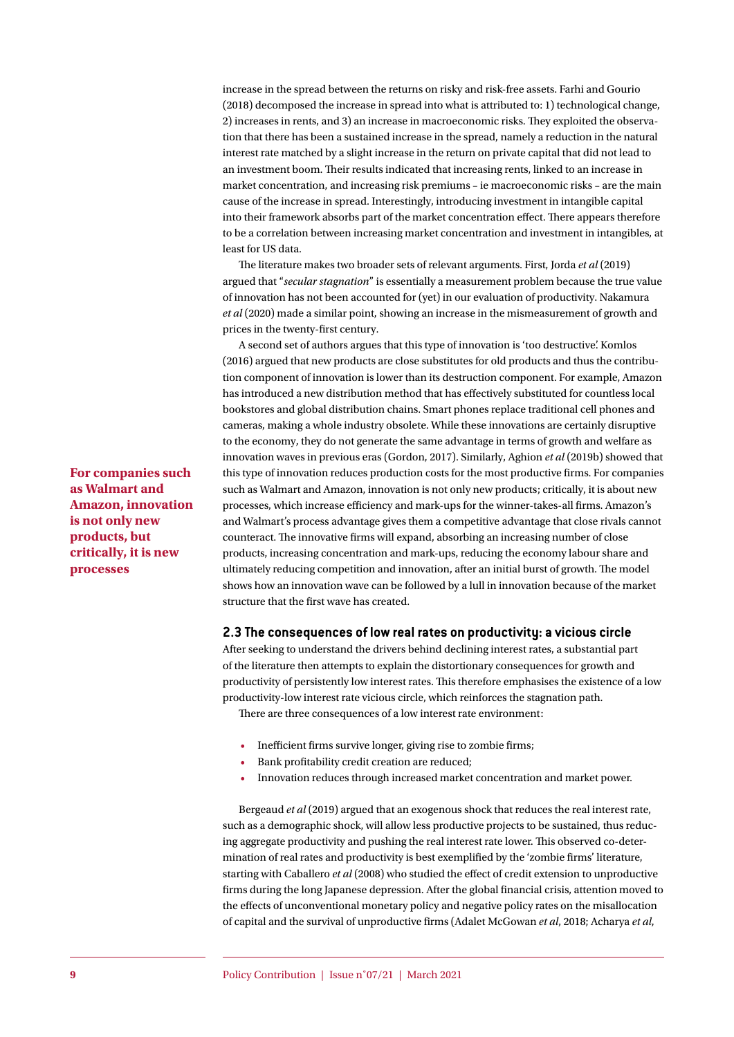increase in the spread between the returns on risky and risk-free assets. Farhi and Gourio (2018) decomposed the increase in spread into what is attributed to: 1) technological change, 2) increases in rents, and 3) an increase in macroeconomic risks. They exploited the observation that there has been a sustained increase in the spread, namely a reduction in the natural interest rate matched by a slight increase in the return on private capital that did not lead to an investment boom. Their results indicated that increasing rents, linked to an increase in market concentration, and increasing risk premiums – ie macroeconomic risks – are the main cause of the increase in spread. Interestingly, introducing investment in intangible capital into their framework absorbs part of the market concentration effect. There appears therefore to be a correlation between increasing market concentration and investment in intangibles, at least for US data.

The literature makes two broader sets of relevant arguments. First, Jorda *et al* (2019) argued that "*secular stagnation*" is essentially a measurement problem because the true value of innovation has not been accounted for (yet) in our evaluation of productivity. Nakamura *et al* (2020) made a similar point, showing an increase in the mismeasurement of growth and prices in the twenty-first century.

A second set of authors argues that this type of innovation is 'too destructive'. Komlos (2016) argued that new products are close substitutes for old products and thus the contribution component of innovation is lower than its destruction component. For example, Amazon has introduced a new distribution method that has effectively substituted for countless local bookstores and global distribution chains. Smart phones replace traditional cell phones and cameras, making a whole industry obsolete. While these innovations are certainly disruptive to the economy, they do not generate the same advantage in terms of growth and welfare as innovation waves in previous eras (Gordon, 2017). Similarly, Aghion *et al* (2019b) showed that this type of innovation reduces production costs for the most productive firms. For companies such as Walmart and Amazon, innovation is not only new products; critically, it is about new processes, which increase efficiency and mark-ups for the winner-takes-all firms. Amazon's and Walmart's process advantage gives them a competitive advantage that close rivals cannot counteract. The innovative firms will expand, absorbing an increasing number of close products, increasing concentration and mark-ups, reducing the economy labour share and ultimately reducing competition and innovation, after an initial burst of growth. The model shows how an innovation wave can be followed by a lull in innovation because of the market structure that the first wave has created.

#### **2.3 The consequences of low real rates on productivity: a vicious circle**

After seeking to understand the drivers behind declining interest rates, a substantial part of the literature then attempts to explain the distortionary consequences for growth and productivity of persistently low interest rates. This therefore emphasises the existence of a low productivity-low interest rate vicious circle, which reinforces the stagnation path.

There are three consequences of a low interest rate environment:

- Inefficient firms survive longer, giving rise to zombie firms;
- Bank profitability credit creation are reduced;
- Innovation reduces through increased market concentration and market power.

Bergeaud *et al* (2019) argued that an exogenous shock that reduces the real interest rate, such as a demographic shock, will allow less productive projects to be sustained, thus reducing aggregate productivity and pushing the real interest rate lower. This observed co-determination of real rates and productivity is best exemplified by the 'zombie firms' literature, starting with Caballero *et al* (2008) who studied the effect of credit extension to unproductive firms during the long Japanese depression. After the global financial crisis, attention moved to the effects of unconventional monetary policy and negative policy rates on the misallocation of capital and the survival of unproductive firms (Adalet McGowan *et al*, 2018; Acharya *et al*,

**For companies such as Walmart and Amazon, innovation is not only new products, but critically, it is new processes**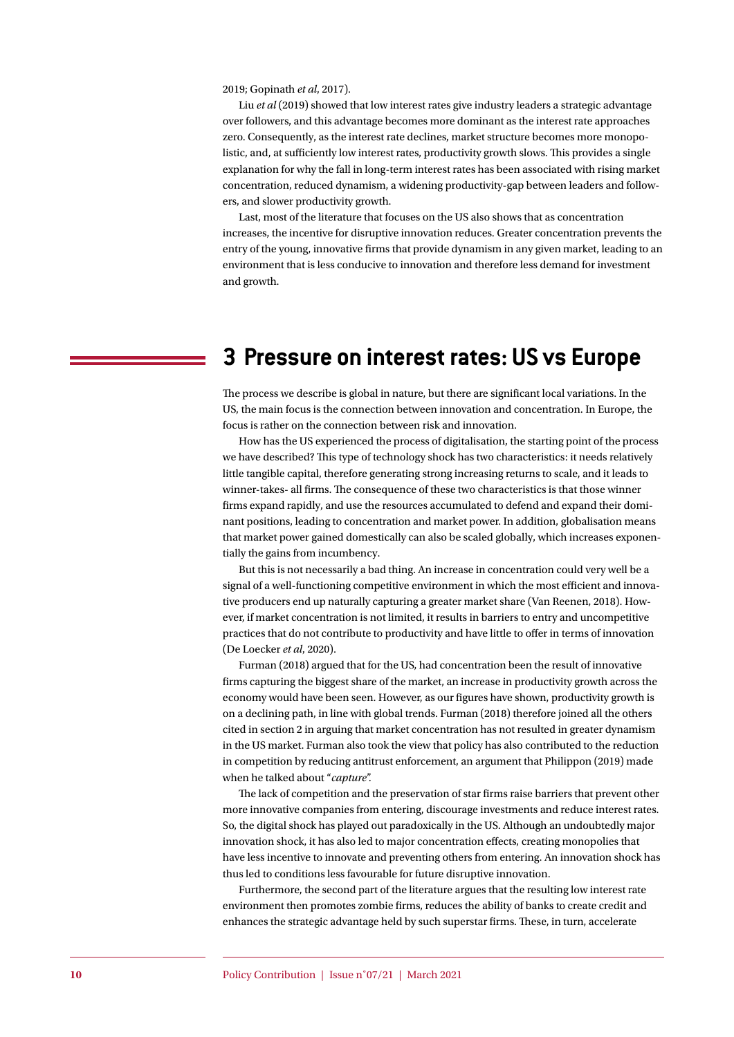2019; Gopinath *et al*, 2017).

Liu *et al* (2019) showed that low interest rates give industry leaders a strategic advantage over followers, and this advantage becomes more dominant as the interest rate approaches zero. Consequently, as the interest rate declines, market structure becomes more monopolistic, and, at sufficiently low interest rates, productivity growth slows. This provides a single explanation for why the fall in long-term interest rates has been associated with rising market concentration, reduced dynamism, a widening productivity-gap between leaders and followers, and slower productivity growth.

Last, most of the literature that focuses on the US also shows that as concentration increases, the incentive for disruptive innovation reduces. Greater concentration prevents the entry of the young, innovative firms that provide dynamism in any given market, leading to an environment that is less conducive to innovation and therefore less demand for investment and growth.

## **3 Pressure on interest rates: US vs Europe**

The process we describe is global in nature, but there are significant local variations. In the US, the main focus is the connection between innovation and concentration. In Europe, the focus is rather on the connection between risk and innovation.

How has the US experienced the process of digitalisation, the starting point of the process we have described? This type of technology shock has two characteristics: it needs relatively little tangible capital, therefore generating strong increasing returns to scale, and it leads to winner-takes- all firms. The consequence of these two characteristics is that those winner firms expand rapidly, and use the resources accumulated to defend and expand their dominant positions, leading to concentration and market power. In addition, globalisation means that market power gained domestically can also be scaled globally, which increases exponentially the gains from incumbency.

But this is not necessarily a bad thing. An increase in concentration could very well be a signal of a well-functioning competitive environment in which the most efficient and innovative producers end up naturally capturing a greater market share (Van Reenen, 2018). However, if market concentration is not limited, it results in barriers to entry and uncompetitive practices that do not contribute to productivity and have little to offer in terms of innovation (De Loecker *et al*, 2020).

Furman (2018) argued that for the US, had concentration been the result of innovative firms capturing the biggest share of the market, an increase in productivity growth across the economy would have been seen. However, as our figures have shown, productivity growth is on a declining path, in line with global trends. Furman (2018) therefore joined all the others cited in section 2 in arguing that market concentration has not resulted in greater dynamism in the US market. Furman also took the view that policy has also contributed to the reduction in competition by reducing antitrust enforcement, an argument that Philippon (2019) made when he talked about "*capture*".

The lack of competition and the preservation of star firms raise barriers that prevent other more innovative companies from entering, discourage investments and reduce interest rates. So, the digital shock has played out paradoxically in the US. Although an undoubtedly major innovation shock, it has also led to major concentration effects, creating monopolies that have less incentive to innovate and preventing others from entering. An innovation shock has thus led to conditions less favourable for future disruptive innovation.

Furthermore, the second part of the literature argues that the resulting low interest rate environment then promotes zombie firms, reduces the ability of banks to create credit and enhances the strategic advantage held by such superstar firms. These, in turn, accelerate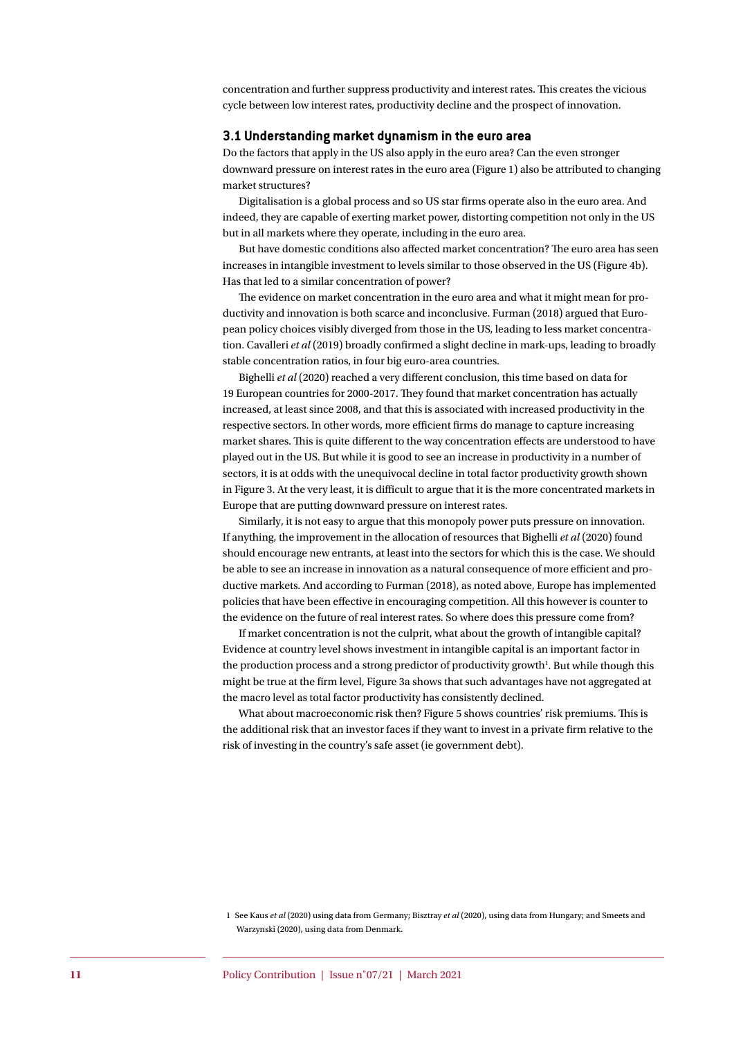concentration and further suppress productivity and interest rates. This creates the vicious cycle between low interest rates, productivity decline and the prospect of innovation.

#### **3.1 Understanding market dynamism in the euro area**

Do the factors that apply in the US also apply in the euro area? Can the even stronger downward pressure on interest rates in the euro area (Figure 1) also be attributed to changing market structures?

Digitalisation is a global process and so US star firms operate also in the euro area. And indeed, they are capable of exerting market power, distorting competition not only in the US but in all markets where they operate, including in the euro area.

But have domestic conditions also affected market concentration? The euro area has seen increases in intangible investment to levels similar to those observed in the US (Figure 4b). Has that led to a similar concentration of power?

The evidence on market concentration in the euro area and what it might mean for productivity and innovation is both scarce and inconclusive. Furman (2018) argued that European policy choices visibly diverged from those in the US, leading to less market concentration. Cavalleri *et al* (2019) broadly confirmed a slight decline in mark-ups, leading to broadly stable concentration ratios, in four big euro-area countries.

Bighelli *et al* (2020) reached a very different conclusion, this time based on data for 19 European countries for 2000-2017. They found that market concentration has actually increased, at least since 2008, and that this is associated with increased productivity in the respective sectors. In other words, more efficient firms do manage to capture increasing market shares. This is quite different to the way concentration effects are understood to have played out in the US. But while it is good to see an increase in productivity in a number of sectors, it is at odds with the unequivocal decline in total factor productivity growth shown in Figure 3. At the very least, it is difficult to argue that it is the more concentrated markets in Europe that are putting downward pressure on interest rates.

Similarly, it is not easy to argue that this monopoly power puts pressure on innovation. If anything, the improvement in the allocation of resources that Bighelli *et al* (2020) found should encourage new entrants, at least into the sectors for which this is the case. We should be able to see an increase in innovation as a natural consequence of more efficient and productive markets. And according to Furman (2018), as noted above, Europe has implemented policies that have been effective in encouraging competition. All this however is counter to the evidence on the future of real interest rates. So where does this pressure come from?

If market concentration is not the culprit, what about the growth of intangible capital? Evidence at country level shows investment in intangible capital is an important factor in the production process and a strong predictor of productivity growth<sup>1</sup>. But while though this might be true at the firm level, Figure 3a shows that such advantages have not aggregated at the macro level as total factor productivity has consistently declined.

What about macroeconomic risk then? Figure 5 shows countries' risk premiums. This is the additional risk that an investor faces if they want to invest in a private firm relative to the risk of investing in the country's safe asset (ie government debt).

<sup>1</sup> See Kaus *et al* (2020) using data from Germany; Bisztray *et al* (2020), using data from Hungary; and Smeets and Warzynski (2020), using data from Denmark.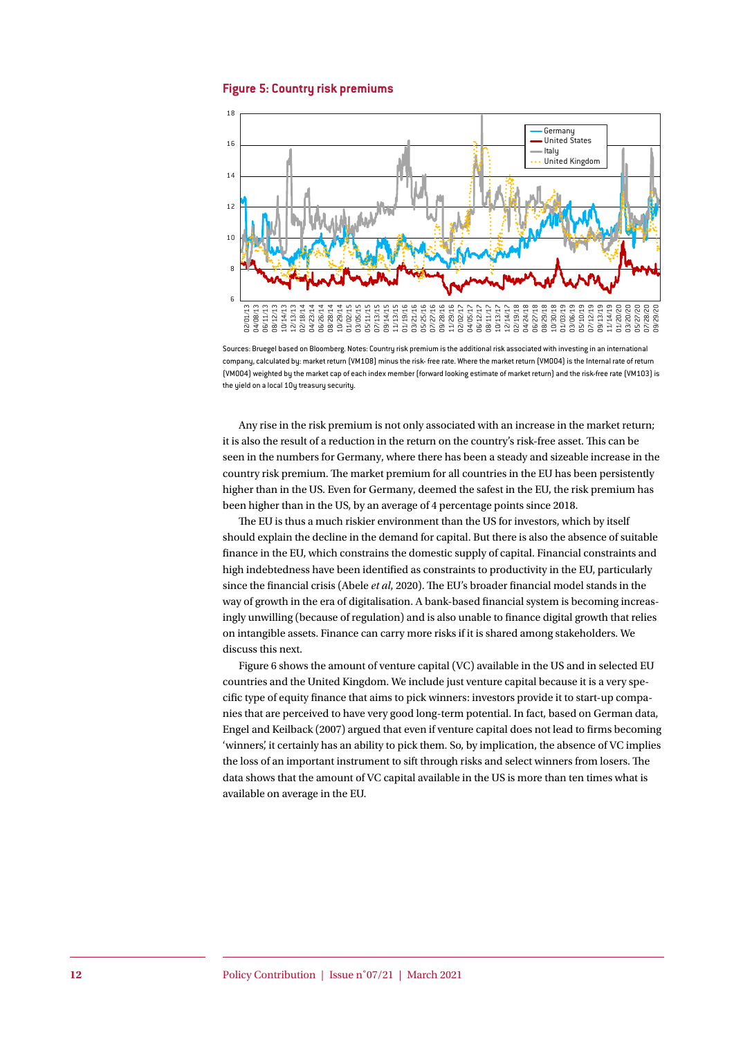#### **Figure 5: Country risk premiums**



Sources: Bruegel based on Bloomberg. Notes: Country risk premium is the additional risk associated with investing in an international company, calculated by: market return (VM108) minus the risk- free rate. Where the market return (VM004) is the Internal rate of return (VM004) weighted by the market cap of each index member (forward looking estimate of market return) and the risk-free rate (VM103) is the yield on a local 10y treasury security.

Any rise in the risk premium is not only associated with an increase in the market return; it is also the result of a reduction in the return on the country's risk-free asset. This can be seen in the numbers for Germany, where there has been a steady and sizeable increase in the country risk premium. The market premium for all countries in the EU has been persistently higher than in the US. Even for Germany, deemed the safest in the EU, the risk premium has been higher than in the US, by an average of 4 percentage points since 2018.

The EU is thus a much riskier environment than the US for investors, which by itself should explain the decline in the demand for capital. But there is also the absence of suitable finance in the EU, which constrains the domestic supply of capital. Financial constraints and high indebtedness have been identified as constraints to productivity in the EU, particularly since the financial crisis (Abele *et al*, 2020). The EU's broader financial model stands in the way of growth in the era of digitalisation. A bank-based financial system is becoming increasingly unwilling (because of regulation) and is also unable to finance digital growth that relies on intangible assets. Finance can carry more risks if it is shared among stakeholders. We discuss this next.

Figure 6 shows the amount of venture capital (VC) available in the US and in selected EU countries and the United Kingdom. We include just venture capital because it is a very specific type of equity finance that aims to pick winners: investors provide it to start-up companies that are perceived to have very good long-term potential. In fact, based on German data, Engel and Keilback (2007) argued that even if venture capital does not lead to firms becoming 'winners', it certainly has an ability to pick them. So, by implication, the absence of VC implies the loss of an important instrument to sift through risks and select winners from losers. The data shows that the amount of VC capital available in the US is more than ten times what is available on average in the EU.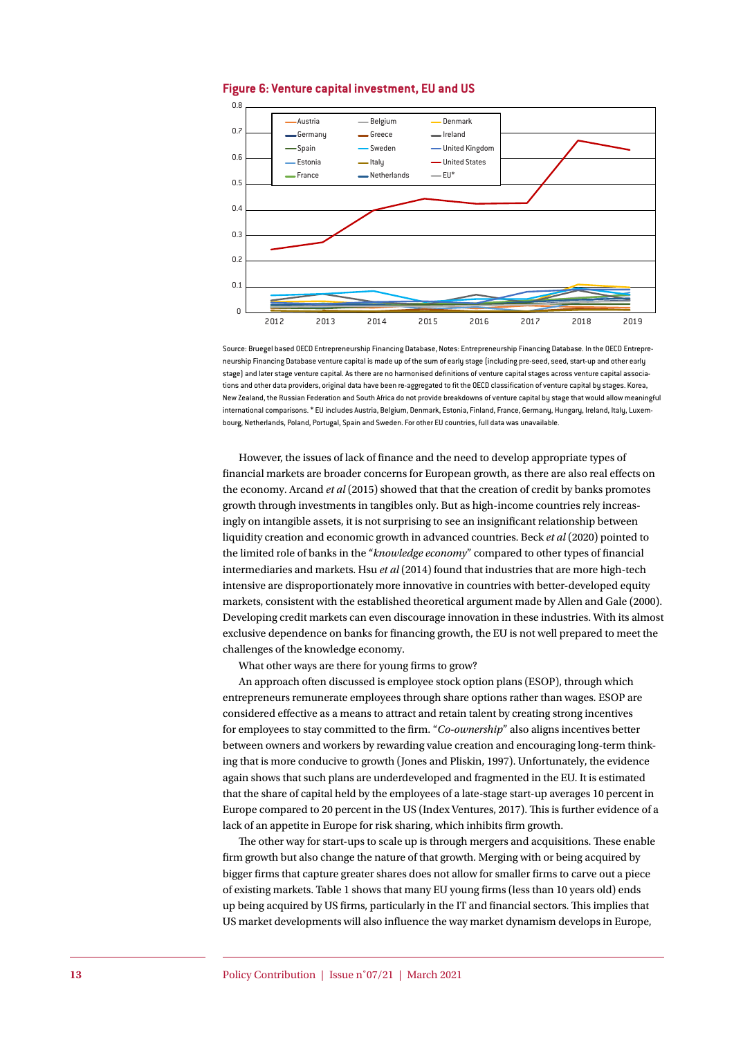

#### **Figure 6: Venture capital investment, EU and US**

Source: Bruegel based OECD Entrepreneurship Financing Database, Notes: Entrepreneurship Financing Database. In the OECD Entrepreneurship Financing Database venture capital is made up of the sum of early stage (including pre-seed, seed, start-up and other early stage) and later stage venture capital. As there are no harmonised definitions of venture capital stages across venture capital associations and other data providers, original data have been re-aggregated to fit the OECD classification of venture capital by stages. Korea, New Zealand, the Russian Federation and South Africa do not provide breakdowns of venture capital by stage that would allow meaningful international comparisons. \* EU includes Austria, Belgium, Denmark, Estonia, Finland, France, Germany, Hungary, Ireland, Italy, Luxembourg, Netherlands, Poland, Portugal, Spain and Sweden. For other EU countries, full data was unavailable.

However, the issues of lack of finance and the need to develop appropriate types of financial markets are broader concerns for European growth, as there are also real effects on the economy. Arcand *et al* (2015) showed that that the creation of credit by banks promotes growth through investments in tangibles only. But as high-income countries rely increasingly on intangible assets, it is not surprising to see an insignificant relationship between liquidity creation and economic growth in advanced countries. Beck *et al* (2020) pointed to the limited role of banks in the "*knowledge economy*" compared to other types of financial intermediaries and markets. Hsu *et al* (2014) found that industries that are more high-tech intensive are disproportionately more innovative in countries with better-developed equity markets, consistent with the established theoretical argument made by Allen and Gale (2000). Developing credit markets can even discourage innovation in these industries. With its almost exclusive dependence on banks for financing growth, the EU is not well prepared to meet the challenges of the knowledge economy.

What other ways are there for young firms to grow?

An approach often discussed is employee stock option plans (ESOP), through which entrepreneurs remunerate employees through share options rather than wages. ESOP are considered effective as a means to attract and retain talent by creating strong incentives for employees to stay committed to the firm. "*Co-ownership*" also aligns incentives better between owners and workers by rewarding value creation and encouraging long-term thinking that is more conducive to growth (Jones and Pliskin, 1997). Unfortunately, the evidence again shows that such plans are underdeveloped and fragmented in the EU. It is estimated that the share of capital held by the employees of a late-stage start-up averages 10 percent in Europe compared to 20 percent in the US (Index Ventures, 2017). This is further evidence of a lack of an appetite in Europe for risk sharing, which inhibits firm growth.

The other way for start-ups to scale up is through mergers and acquisitions. These enable firm growth but also change the nature of that growth. Merging with or being acquired by bigger firms that capture greater shares does not allow for smaller firms to carve out a piece of existing markets. Table 1 shows that many EU young firms (less than 10 years old) ends up being acquired by US firms, particularly in the IT and financial sectors. This implies that US market developments will also influence the way market dynamism develops in Europe,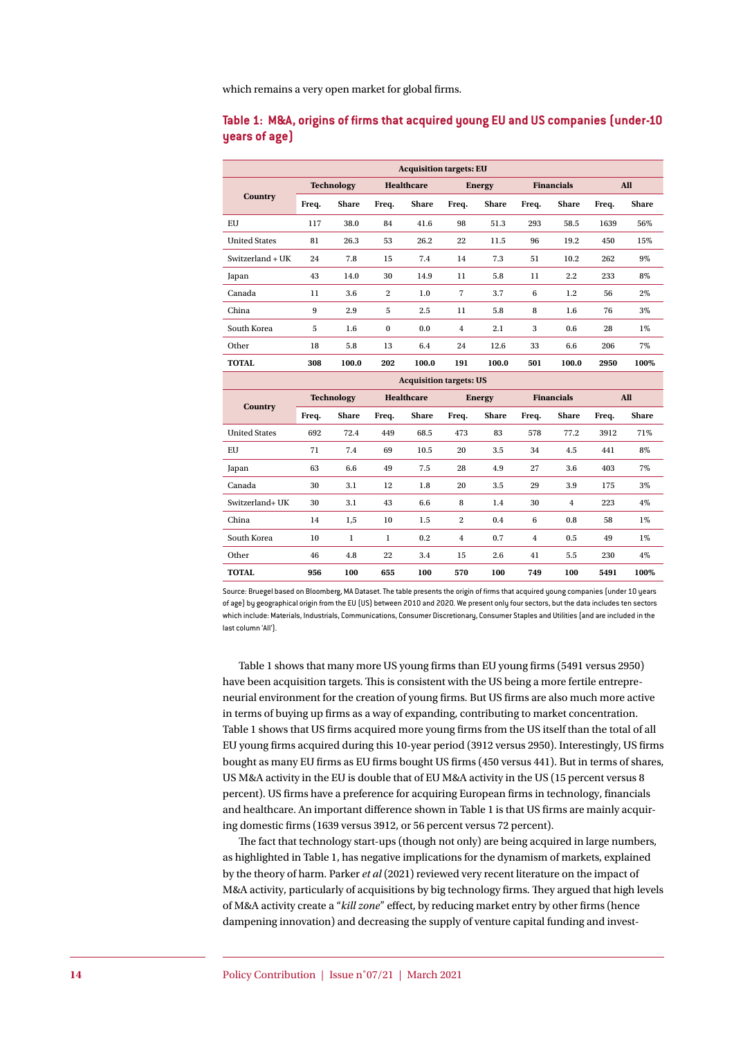which remains a very open market for global firms.

### **Table 1: M&A, origins of firms that acquired young EU and US companies (under-10 years of age)**

| <b>Acquisition targets: EU</b> |                   |              |                   |       |                |              |                   |                |            |              |
|--------------------------------|-------------------|--------------|-------------------|-------|----------------|--------------|-------------------|----------------|------------|--------------|
| <b>Country</b>                 | <b>Technology</b> |              | <b>Healthcare</b> |       | <b>Energy</b>  |              | <b>Financials</b> |                | <b>All</b> |              |
|                                | Freq.             | <b>Share</b> | Freq.             | Share | Freq.          | <b>Share</b> | Freq.             | <b>Share</b>   | Freq.      | <b>Share</b> |
| <b>EU</b>                      | 117               | 38.0         | 84                | 41.6  | 98             | 51.3         | 293               | 58.5           | 1639       | 56%          |
| <b>United States</b>           | 81                | 26.3         | 53                | 26.2  | 22             | 11.5         | 96                | 19.2           | 450        | 15%          |
| Switzerland + UK               | 24                | 7.8          | 15                | 7.4   | 14             | 7.3          | 51                | 10.2           | 262        | 9%           |
| Japan                          | 43                | 14.0         | 30                | 14.9  | 11             | 5.8          | 11                | $2.2\,$        | 233        | 8%           |
| Canada                         | 11                | 3.6          | $\overline{2}$    | 1.0   | 7              | 3.7          | 6                 | 1.2            | 56         | 2%           |
| China                          | 9                 | 2.9          | 5                 | 2.5   | 11             | 5.8          | 8                 | 1.6            | 76         | 3%           |
| South Korea                    | 5                 | $1.6\,$      | $\bf{0}$          | 0.0   | $\overline{4}$ | 2.1          | 3                 | 0.6            | 28         | 1%           |
| Other                          | 18                | 5.8          | 13                | 6.4   | 24             | 12.6         | 33                | 6.6            | 206        | 7%           |
| <b>TOTAL</b>                   | 308               | 100.0        | 202               | 100.0 | 191            | 100.0        | 501               | 100.0          | 2950       | 100%         |
| <b>Acquisition targets: US</b> |                   |              |                   |       |                |              |                   |                |            |              |
| <b>Country</b>                 | <b>Technology</b> |              | <b>Healthcare</b> |       | <b>Energy</b>  |              | <b>Financials</b> |                | All        |              |
|                                | Freq.             | <b>Share</b> | Freq.             | Share | Freq.          | <b>Share</b> | Freq.             | Share          | Freq.      | <b>Share</b> |
| <b>United States</b>           | 692               | 72.4         | 449               | 68.5  | 473            | 83           | 578               | 77.2           | 3912       | 71%          |
| EU                             | 71                | 7.4          | 69                | 10.5  | 20             | 3.5          | 34                | 4.5            | 441        | 8%           |
| Japan                          | 63                | 6.6          | 49                | 7.5   | 28             | 4.9          | 27                | 3.6            | 403        | 7%           |
| Canada                         | 30                | 3.1          | 12                | 1.8   | 20             | 3.5          | 29                | 3.9            | 175        | 3%           |
| Switzerland+ UK                | 30                | 3.1          | 43                | 6.6   | 8              | 1.4          | 30                | $\overline{4}$ | 223        | 4%           |
| China                          | 14                | 1,5          | 10                | 1.5   | $\overline{2}$ | 0.4          | 6                 | 0.8            | 58         | $1\%$        |
| South Korea                    | 10                | 1            | 1                 | 0.2   | $\overline{4}$ | 0.7          | $\overline{4}$    | 0.5            | 49         | $1\%$        |
| Other                          | 46                | 4.8          | 22                | 3.4   | 15             | 2.6          | 41                | 5.5            | 230        | 4%           |
| <b>TOTAL</b>                   | 956               | 100          | 655               | 100   | 570            | 100          | 749               | 100            | 5491       | 100%         |

Source: Bruegel based on Bloomberg, MA Dataset. The table presents the origin of firms that acquired young companies (under 10 years of age) by geographical origin from the EU (US) between 2010 and 2020. We present only four sectors, but the data includes ten sectors which include: Materials, Industrials, Communications, Consumer Discretionary, Consumer Staples and Utilities (and are included in the last column 'All').

Table 1 shows that many more US young firms than EU young firms (5491 versus 2950) have been acquisition targets. This is consistent with the US being a more fertile entrepreneurial environment for the creation of young firms. But US firms are also much more active in terms of buying up firms as a way of expanding, contributing to market concentration. Table 1 shows that US firms acquired more young firms from the US itself than the total of all EU young firms acquired during this 10-year period (3912 versus 2950). Interestingly, US firms bought as many EU firms as EU firms bought US firms (450 versus 441). But in terms of shares, US M&A activity in the EU is double that of EU M&A activity in the US (15 percent versus 8 percent). US firms have a preference for acquiring European firms in technology, financials and healthcare. An important difference shown in Table 1 is that US firms are mainly acquiring domestic firms (1639 versus 3912, or 56 percent versus 72 percent).

The fact that technology start-ups (though not only) are being acquired in large numbers, as highlighted in Table 1, has negative implications for the dynamism of markets, explained by the theory of harm. Parker *et al* (2021) reviewed very recent literature on the impact of M&A activity, particularly of acquisitions by big technology firms. They argued that high levels of M&A activity create a "*kill zone*" effect, by reducing market entry by other firms (hence dampening innovation) and decreasing the supply of venture capital funding and invest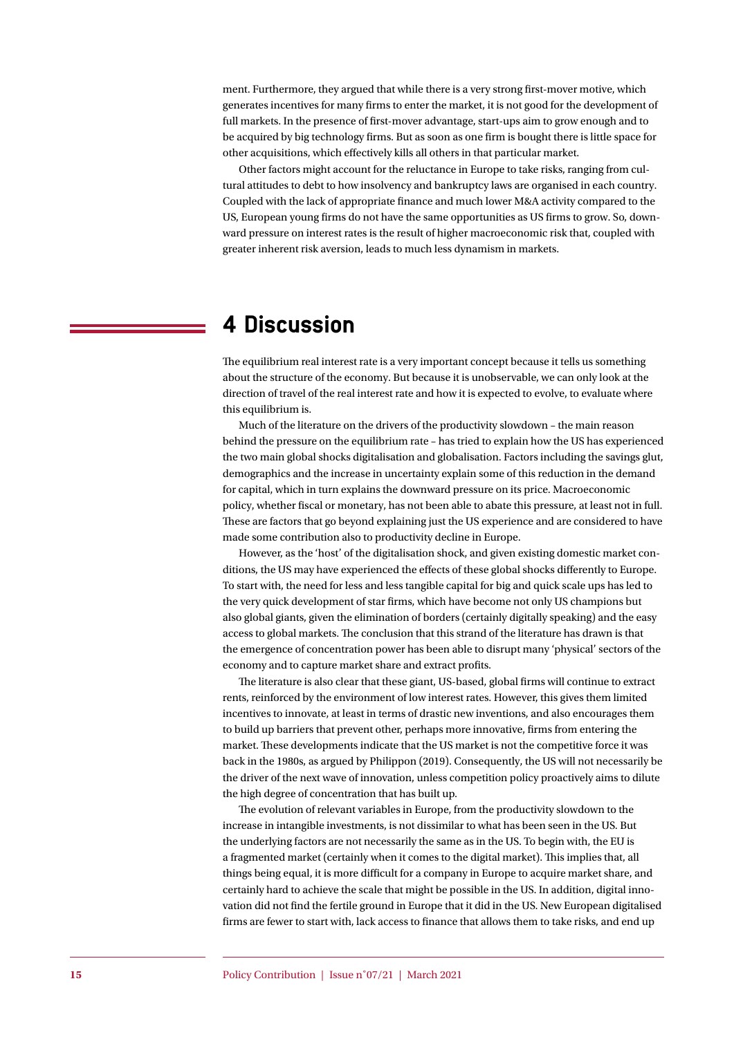ment. Furthermore, they argued that while there is a very strong first-mover motive, which generates incentives for many firms to enter the market, it is not good for the development of full markets. In the presence of first-mover advantage, start-ups aim to grow enough and to be acquired by big technology firms. But as soon as one firm is bought there is little space for other acquisitions, which effectively kills all others in that particular market.

Other factors might account for the reluctance in Europe to take risks, ranging from cultural attitudes to debt to how insolvency and bankruptcy laws are organised in each country. Coupled with the lack of appropriate finance and much lower M&A activity compared to the US, European young firms do not have the same opportunities as US firms to grow. So, downward pressure on interest rates is the result of higher macroeconomic risk that, coupled with greater inherent risk aversion, leads to much less dynamism in markets.

# **4 Discussion**

The equilibrium real interest rate is a very important concept because it tells us something about the structure of the economy. But because it is unobservable, we can only look at the direction of travel of the real interest rate and how it is expected to evolve, to evaluate where this equilibrium is.

Much of the literature on the drivers of the productivity slowdown – the main reason behind the pressure on the equilibrium rate – has tried to explain how the US has experienced the two main global shocks digitalisation and globalisation. Factors including the savings glut, demographics and the increase in uncertainty explain some of this reduction in the demand for capital, which in turn explains the downward pressure on its price. Macroeconomic policy, whether fiscal or monetary, has not been able to abate this pressure, at least not in full. These are factors that go beyond explaining just the US experience and are considered to have made some contribution also to productivity decline in Europe.

However, as the 'host' of the digitalisation shock, and given existing domestic market conditions, the US may have experienced the effects of these global shocks differently to Europe. To start with, the need for less and less tangible capital for big and quick scale ups has led to the very quick development of star firms, which have become not only US champions but also global giants, given the elimination of borders (certainly digitally speaking) and the easy access to global markets. The conclusion that this strand of the literature has drawn is that the emergence of concentration power has been able to disrupt many 'physical' sectors of the economy and to capture market share and extract profits.

The literature is also clear that these giant, US-based, global firms will continue to extract rents, reinforced by the environment of low interest rates. However, this gives them limited incentives to innovate, at least in terms of drastic new inventions, and also encourages them to build up barriers that prevent other, perhaps more innovative, firms from entering the market. These developments indicate that the US market is not the competitive force it was back in the 1980s, as argued by Philippon (2019). Consequently, the US will not necessarily be the driver of the next wave of innovation, unless competition policy proactively aims to dilute the high degree of concentration that has built up.

The evolution of relevant variables in Europe, from the productivity slowdown to the increase in intangible investments, is not dissimilar to what has been seen in the US. But the underlying factors are not necessarily the same as in the US. To begin with, the EU is a fragmented market (certainly when it comes to the digital market). This implies that, all things being equal, it is more difficult for a company in Europe to acquire market share, and certainly hard to achieve the scale that might be possible in the US. In addition, digital innovation did not find the fertile ground in Europe that it did in the US. New European digitalised firms are fewer to start with, lack access to finance that allows them to take risks, and end up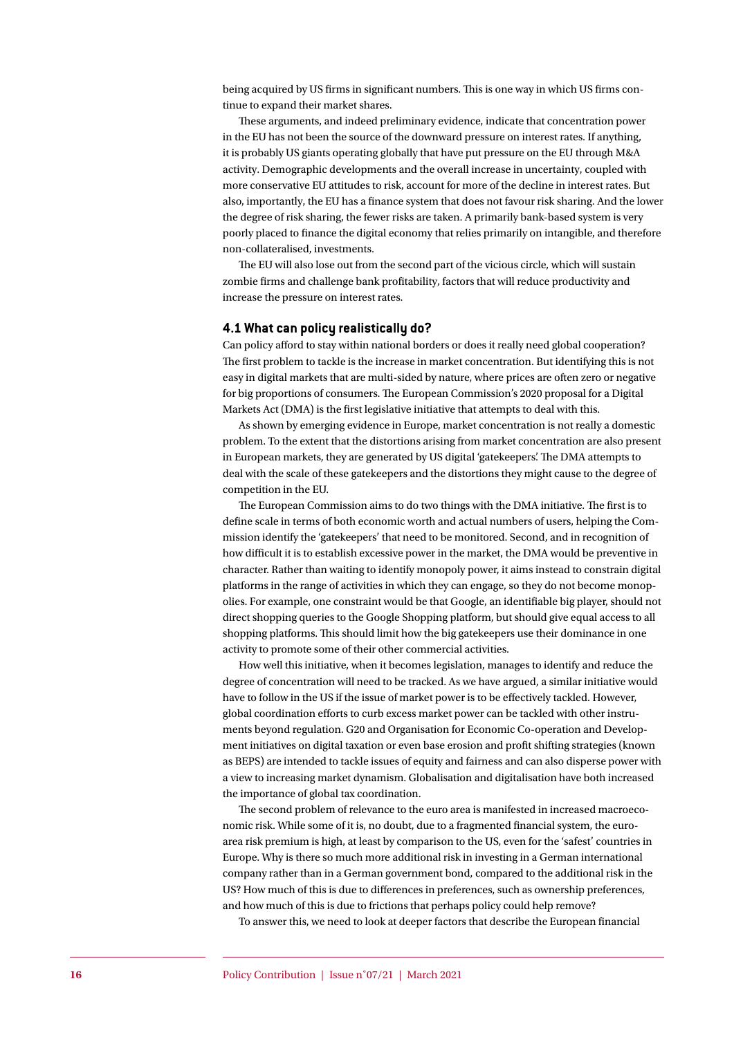being acquired by US firms in significant numbers. This is one way in which US firms continue to expand their market shares.

These arguments, and indeed preliminary evidence, indicate that concentration power in the EU has not been the source of the downward pressure on interest rates. If anything, it is probably US giants operating globally that have put pressure on the EU through M&A activity. Demographic developments and the overall increase in uncertainty, coupled with more conservative EU attitudes to risk, account for more of the decline in interest rates. But also, importantly, the EU has a finance system that does not favour risk sharing. And the lower the degree of risk sharing, the fewer risks are taken. A primarily bank-based system is very poorly placed to finance the digital economy that relies primarily on intangible, and therefore non-collateralised, investments.

The EU will also lose out from the second part of the vicious circle, which will sustain zombie firms and challenge bank profitability, factors that will reduce productivity and increase the pressure on interest rates.

#### **4.1 What can policy realistically do?**

Can policy afford to stay within national borders or does it really need global cooperation? The first problem to tackle is the increase in market concentration. But identifying this is not easy in digital markets that are multi-sided by nature, where prices are often zero or negative for big proportions of consumers. The European Commission's 2020 proposal for a Digital Markets Act (DMA) is the first legislative initiative that attempts to deal with this.

As shown by emerging evidence in Europe, market concentration is not really a domestic problem. To the extent that the distortions arising from market concentration are also present in European markets, they are generated by US digital 'gatekeepers'. The DMA attempts to deal with the scale of these gatekeepers and the distortions they might cause to the degree of competition in the EU.

The European Commission aims to do two things with the DMA initiative. The first is to define scale in terms of both economic worth and actual numbers of users, helping the Commission identify the 'gatekeepers' that need to be monitored. Second, and in recognition of how difficult it is to establish excessive power in the market, the DMA would be preventive in character. Rather than waiting to identify monopoly power, it aims instead to constrain digital platforms in the range of activities in which they can engage, so they do not become monopolies. For example, one constraint would be that Google, an identifiable big player, should not direct shopping queries to the Google Shopping platform, but should give equal access to all shopping platforms. This should limit how the big gatekeepers use their dominance in one activity to promote some of their other commercial activities.

How well this initiative, when it becomes legislation, manages to identify and reduce the degree of concentration will need to be tracked. As we have argued, a similar initiative would have to follow in the US if the issue of market power is to be effectively tackled. However, global coordination efforts to curb excess market power can be tackled with other instruments beyond regulation. G20 and Organisation for Economic Co-operation and Development initiatives on digital taxation or even base erosion and profit shifting strategies (known as BEPS) are intended to tackle issues of equity and fairness and can also disperse power with a view to increasing market dynamism. Globalisation and digitalisation have both increased the importance of global tax coordination.

The second problem of relevance to the euro area is manifested in increased macroeconomic risk. While some of it is, no doubt, due to a fragmented financial system, the euroarea risk premium is high, at least by comparison to the US, even for the 'safest' countries in Europe. Why is there so much more additional risk in investing in a German international company rather than in a German government bond, compared to the additional risk in the US? How much of this is due to differences in preferences, such as ownership preferences, and how much of this is due to frictions that perhaps policy could help remove?

To answer this, we need to look at deeper factors that describe the European financial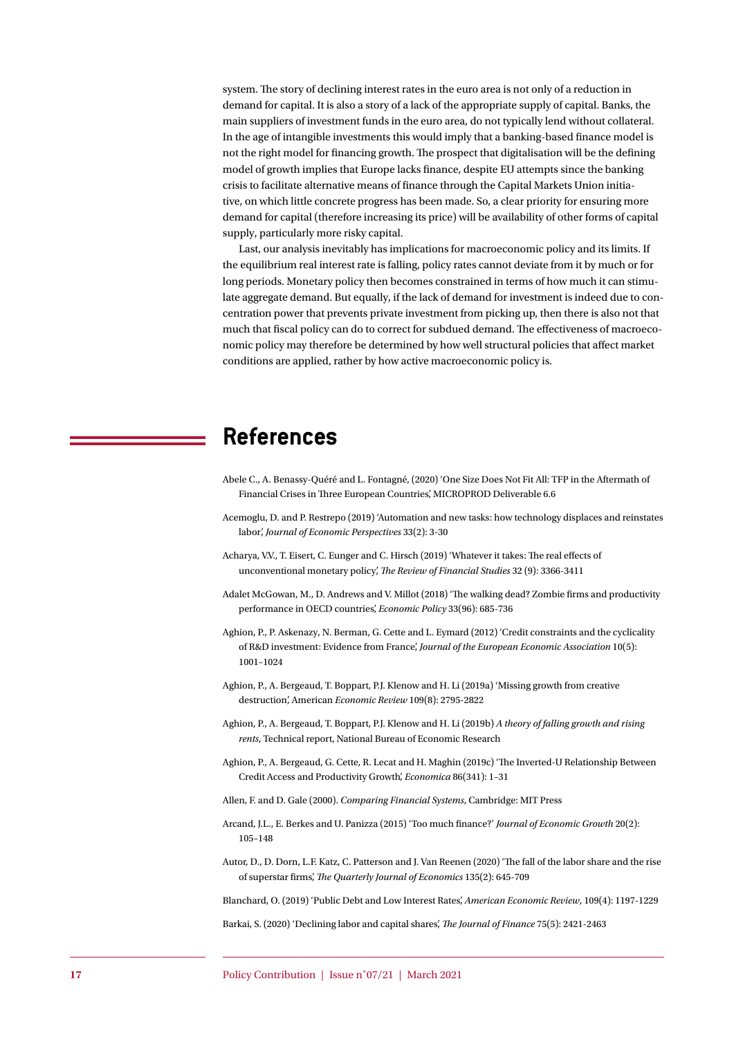system. The story of declining interest rates in the euro area is not only of a reduction in demand for capital. It is also a story of a lack of the appropriate supply of capital. Banks, the main suppliers of investment funds in the euro area, do not typically lend without collateral. In the age of intangible investments this would imply that a banking-based finance model is not the right model for financing growth. The prospect that digitalisation will be the defining model of growth implies that Europe lacks finance, despite EU attempts since the banking crisis to facilitate alternative means of finance through the Capital Markets Union initiative, on which little concrete progress has been made. So, a clear priority for ensuring more demand for capital (therefore increasing its price) will be availability of other forms of capital supply, particularly more risky capital.

Last, our analysis inevitably has implications for macroeconomic policy and its limits. If the equilibrium real interest rate is falling, policy rates cannot deviate from it by much or for long periods. Monetary policy then becomes constrained in terms of how much it can stimulate aggregate demand. But equally, if the lack of demand for investment is indeed due to concentration power that prevents private investment from picking up, then there is also not that much that fiscal policy can do to correct for subdued demand. The effectiveness of macroeconomic policy may therefore be determined by how well structural policies that affect market conditions are applied, rather by how active macroeconomic policy is.

### **References**

- Abele C., A. Benassy-Quéré and L. Fontagné, (2020) 'One Size Does Not Fit All: TFP in the Aftermath of Financial Crises in Three European Countries', MICROPROD Deliverable 6.6
- Acemoglu, D. and P. Restrepo (2019) 'Automation and new tasks: how technology displaces and reinstates labor', *Journal of Economic Perspectives* 33(2): 3-30
- Acharya, V.V., T. Eisert, C. Eunger and C. Hirsch (2019) 'Whatever it takes: The real effects of unconventional monetary policy', *The Review of Financial Studies* 32 (9): 3366-3411
- Adalet McGowan, M., D. Andrews and V. Millot (2018) 'The walking dead? Zombie firms and productivity performance in OECD countries', *Economic Policy* 33(96): 685-736
- Aghion, P., P. Askenazy, N. Berman, G. Cette and L. Eymard (2012) 'Credit constraints and the cyclicality of R&D investment: Evidence from France', *Journal of the European Economic Association* 10(5): 1001–1024
- Aghion, P., A. Bergeaud, T. Boppart, P.J. Klenow and H. Li (2019a) 'Missing growth from creative destruction', American *Economic Review* 109(8): 2795-2822
- Aghion, P., A. Bergeaud, T. Boppart, P.J. Klenow and H. Li (2019b) *A theory of falling growth and rising rents*, Technical report, National Bureau of Economic Research
- Aghion, P., A. Bergeaud, G. Cette, R. Lecat and H. Maghin (2019c) 'The Inverted-U Relationship Between Credit Access and Productivity Growth', *Economica* 86(341): 1–31
- Allen, F. and D. Gale (2000). *Comparing Financial Systems*, Cambridge: MIT Press
- Arcand, J.L., E. Berkes and U. Panizza (2015) 'Too much finance?' *Journal of Economic Growth* 20(2): 105–148
- Autor, D., D. Dorn, L.F. Katz, C. Patterson and J. Van Reenen (2020) 'The fall of the labor share and the rise of superstar firms', *The Quarterly Journal of Economics* 135(2): 645-709

Blanchard, O. (2019) 'Public Debt and Low Interest Rates', *American Economic Review*, 109(4): 1197-1229

Barkai, S. (2020) 'Declining labor and capital shares', *The Journal of Finance* 75(5): 2421-2463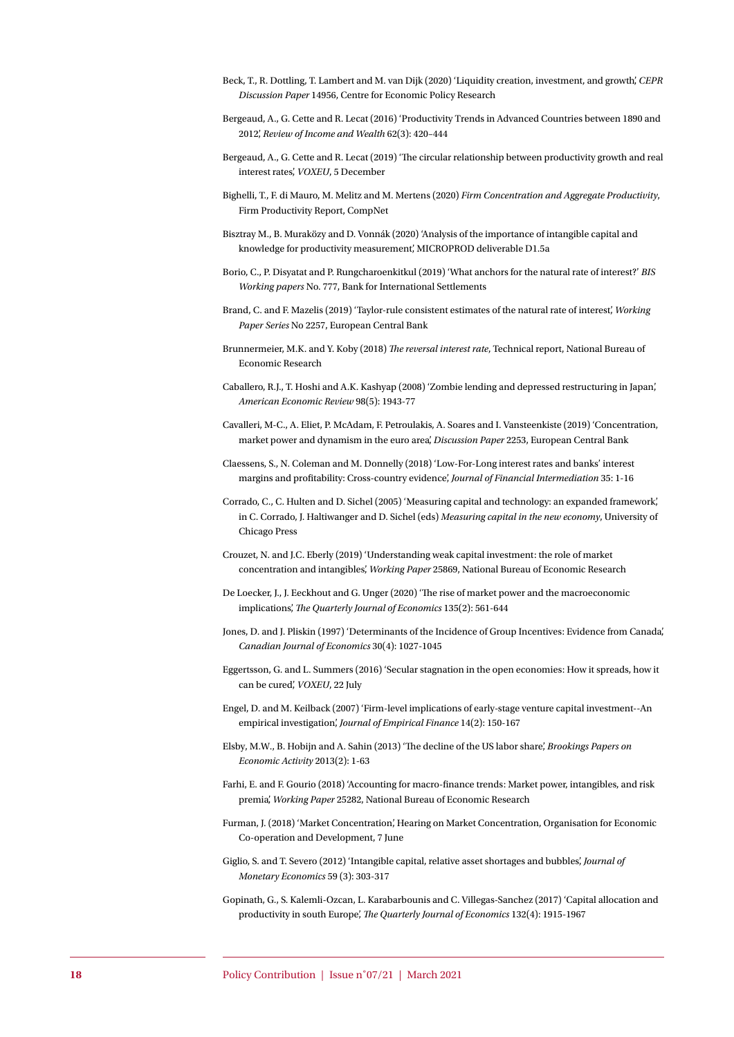- Beck, T., R. Dottling, T. Lambert and M. van Dijk (2020) 'Liquidity creation, investment, and growth', *CEPR Discussion Paper* 14956, Centre for Economic Policy Research
- Bergeaud, A., G. Cette and R. Lecat (2016) 'Productivity Trends in Advanced Countries between 1890 and 2012', *Review of Income and Wealth* 62(3): 420–444
- Bergeaud, A., G. Cette and R. Lecat (2019) 'The circular relationship between productivity growth and real interest rates', *VOXEU*, 5 December
- Bighelli, T., F. di Mauro, M. Melitz and M. Mertens (2020) *Firm Concentration and Aggregate Productivity*, Firm Productivity Report, CompNet
- Bisztray M., B. Muraközy and D. Vonnák (2020) 'Analysis of the importance of intangible capital and knowledge for productivity measurement', MICROPROD deliverable D1.5a
- Borio, C., P. Disyatat and P. Rungcharoenkitkul (2019) 'What anchors for the natural rate of interest?' *BIS Working papers* No. 777, Bank for International Settlements
- Brand, C. and F. Mazelis (2019) 'Taylor-rule consistent estimates of the natural rate of interest', *Working Paper Series* No 2257, European Central Bank
- Brunnermeier, M.K. and Y. Koby (2018) *The reversal interest rate*, Technical report, National Bureau of Economic Research
- Caballero, R.J., T. Hoshi and A.K. Kashyap (2008) 'Zombie lending and depressed restructuring in Japan', *American Economic Review* 98(5): 1943-77
- Cavalleri, M-C., A. Eliet, P. McAdam, F. Petroulakis, A. Soares and I. Vansteenkiste (2019) 'Concentration, market power and dynamism in the euro area', *Discussion Paper* 2253, European Central Bank
- Claessens, S., N. Coleman and M. Donnelly (2018) 'Low-For-Long interest rates and banks' interest margins and profitability: Cross-country evidence', *Journal of Financial Intermediation* 35: 1-16
- Corrado, C., C. Hulten and D. Sichel (2005) 'Measuring capital and technology: an expanded framework', in C. Corrado, J. Haltiwanger and D. Sichel (eds) *Measuring capital in the new economy*, University of Chicago Press
- Crouzet, N. and J.C. Eberly (2019) 'Understanding weak capital investment: the role of market concentration and intangibles', *Working Paper* 25869, National Bureau of Economic Research
- De Loecker, J., J. Eeckhout and G. Unger (2020) 'The rise of market power and the macroeconomic implications', *The Quarterly Journal of Economics* 135(2): 561-644
- Jones, D. and J. Pliskin (1997) 'Determinants of the Incidence of Group Incentives: Evidence from Canada', *Canadian Journal of Economics* 30(4): 1027-1045
- Eggertsson, G. and L. Summers (2016) 'Secular stagnation in the open economies: How it spreads, how it can be cured', *VOXEU*, 22 July
- Engel, D. and M. Keilback (2007) 'Firm-level implications of early-stage venture capital investment--An empirical investigation', *Journal of Empirical Finance* 14(2): 150-167
- Elsby, M.W., B. Hobijn and A. Sahin (2013) 'The decline of the US labor share', *Brookings Papers on Economic Activity* 2013(2): 1-63
- Farhi, E. and F. Gourio (2018) 'Accounting for macro-finance trends: Market power, intangibles, and risk premia', *Working Paper* 25282, National Bureau of Economic Research
- Furman, J. (2018) 'Market Concentration', Hearing on Market Concentration, Organisation for Economic Co-operation and Development, 7 June
- Giglio, S. and T. Severo (2012) 'Intangible capital, relative asset shortages and bubbles', *Journal of Monetary Economics* 59 (3): 303-317
- Gopinath, G., S. Kalemli-Ozcan, L. Karabarbounis and C. Villegas-Sanchez (2017) 'Capital allocation and productivity in south Europe', *The Quarterly Journal of Economics* 132(4): 1915-1967